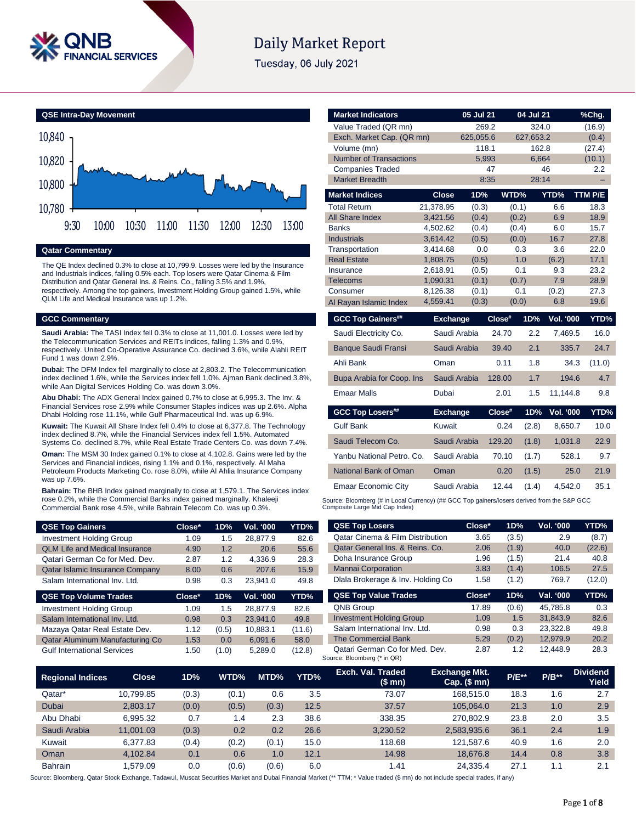

# **Daily Market Report**

Tuesday, 06 July 2021



**Qatar Commentary**

The QE Index declined 0.3% to close at 10,799.9. Losses were led by the Insurance and Industrials indices, falling 0.5% each. Top losers were Qatar Cinema & Film Distribution and Qatar General Ins. & Reins. Co., falling 3.5% and 1.9%, respectively. Among the top gainers, Investment Holding Group gained 1.5%, while QLM Life and Medical Insurance was up 1.2%.

#### **GCC Commentary**

**Saudi Arabia:** The TASI Index fell 0.3% to close at 11,001.0. Losses were led by the Telecommunication Services and REITs indices, falling 1.3% and 0.9%, respectively. United Co-Operative Assurance Co. declined 3.6%, while Alahli REIT Fund 1 was down 2.9%.

**Dubai:** The DFM Index fell marginally to close at 2,803.2. The Telecommunication index declined 1.6%, while the Services index fell 1.0%. Ajman Bank declined 3.8%, while Aan Digital Services Holding Co. was down 3.0%.

**Abu Dhabi:** The ADX General Index gained 0.7% to close at 6,995.3. The Inv. & Financial Services rose 2.9% while Consumer Staples indices was up 2.6%. Alpha Dhabi Holding rose 11.1%, while Gulf Pharmaceutical Ind. was up 6.9%.

**Kuwait:** The Kuwait All Share Index fell 0.4% to close at 6,377.8. The Technology index declined 8.7%, while the Financial Services index fell 1.5%. Automated Systems Co. declined 8.7%, while Real Estate Trade Centers Co. was down 7.4%.

**Oman:** The MSM 30 Index gained 0.1% to close at 4,102.8. Gains were led by the Services and Financial indices, rising 1.1% and 0.1%, respectively. Al Maha Petroleum Products Marketing Co. rose 8.0%, while Al Ahlia Insurance Company was up 7.6%.

**Bahrain:** The BHB Index gained marginally to close at 1,579.1. The Services index rose 0.2%, while the Commercial Banks index gained marginally. Khaleeji Commercial Bank rose 4.5%, while Bahrain Telecom Co. was up 0.3%.

| <b>QSE Top Gainers</b>                 | Close* | 1D% | <b>Vol. '000</b> | YTD% |
|----------------------------------------|--------|-----|------------------|------|
| <b>Investment Holding Group</b>        | 1.09   | 1.5 | 28.877.9         | 82.6 |
| <b>QLM Life and Medical Insurance</b>  | 4.90   | 1.2 | 20.6             | 55.6 |
| Qatari German Co for Med. Dev.         | 2.87   | 1.2 | 4.336.9          | 28.3 |
| <b>Qatar Islamic Insurance Company</b> | 8.00   | 0.6 | 207.6            | 15.9 |
| Salam International Inv. Ltd.          | 0.98   | 0.3 | 23.941.0         | 49.8 |

| <b>QSE Top Volume Trades</b>       | $Close^*$ | 1D%   | <b>Vol. '000</b> | YTD%   |
|------------------------------------|-----------|-------|------------------|--------|
| <b>Investment Holding Group</b>    | 1.09      | 1.5   | 28.877.9         | 82.6   |
| Salam International Inv. Ltd.      | 0.98      | 0.3   | 23.941.0         | 49.8   |
| Mazaya Qatar Real Estate Dev.      | 1.12      | (0.5) | 10,883.1         | (11.6) |
| Qatar Aluminum Manufacturing Co    | 1.53      | 0.0   | 6.091.6          | 58.0   |
| <b>Gulf International Services</b> | 1.50      | (1.0) | 5.289.0          | (12.8) |

| <b>Market Indicators</b>      |                      | 05 Jul 21      |              | 04 Jul 21               | %Chg.        |
|-------------------------------|----------------------|----------------|--------------|-------------------------|--------------|
| Value Traded (QR mn)          |                      | 269.2          |              | 324.0                   | (16.9)       |
| Exch. Market Cap. (QR mn)     |                      | 625,055.6      |              | 627,653.2               | (0.4)        |
| Volume (mn)                   |                      | 118.1          |              | 162.8                   | (27.4)       |
| <b>Number of Transactions</b> |                      | 5,993          |              | 6,664                   | (10.1)       |
| <b>Companies Traded</b>       |                      | 47             |              | 46                      | 2.2          |
| <b>Market Breadth</b>         |                      | 8:35           |              | 28:14                   |              |
| <b>Market Indices</b>         | <b>Close</b>         | 1D%            | WTD%         | YTD%                    | TTM P/E      |
| <b>Total Return</b>           | 21,378.95            | (0.3)          | (0.1)        | 6.6                     | 18.3         |
| All Share Index               | 3,421.56             | (0.4)          | (0.2)        | 6.9                     | 18.9         |
| <b>Banks</b>                  | 4,502.62             | (0.4)          | (0.4)        | 6.0                     | 15.7         |
| <b>Industrials</b>            | 3,614.42             | (0.5)          | (0.0)        | 16.7                    | 27.8         |
| Transportation                | 3,414.68             | 0.0            | 0.3          | 3.6                     | 22.0         |
| <b>Real Estate</b>            | 1,808.75             | (0.5)          | 1.0          | (6.2)                   | 17.1         |
| Insurance                     | 2.618.91             | (0.5)          | 0.1          | 9.3                     | 23.2         |
| Telecoms                      | 1,090.31             | (0.1)          | (0.7)        | 7.9                     | 28.9         |
| Consumer                      | 8,126.38<br>4,559.41 | (0.1)<br>(0.3) | 0.1<br>(0.0) | (0.2)<br>6.8            | 27.3<br>19.6 |
| Al Rayan Islamic Index        |                      |                |              |                         |              |
|                               |                      |                |              |                         |              |
| <b>GCC Top Gainers##</b>      | <b>Exchange</b>      |                | Close#       | <b>Vol. '000</b><br>1D% |              |
| Saudi Electricity Co.         | Saudi Arabia         |                | 24.70        | $2.2\,$<br>7.469.5      | 16.0         |
| <b>Banque Saudi Fransi</b>    | Saudi Arabia         |                | 39.40        | 2.1<br>335.7            | 24.7         |
| Ahli Bank                     | Oman                 |                | 0.11         | 1.8<br>34.3             | (11.0)       |
| Bupa Arabia for Coop. Ins     | Saudi Arabia         |                | 128.00       | 1.7<br>194.6            | 4.7          |
| <b>Emaar Malls</b>            | Dubai                |                | 2.01         | 11,144.8<br>1.5         | 9.8          |
| <b>GCC Top Losers##</b>       | <b>Exchange</b>      |                | Close#       | <b>Vol. '000</b><br>1D% | YTD%<br>YTD% |
| <b>Gulf Bank</b>              | Kuwait               |                | 0.24         | 8,650.7<br>(2.8)        | 10.0         |
| Saudi Telecom Co.             | Saudi Arabia         |                | 129.20       | 1,031.8<br>(1.8)        | 22.9         |
| Yanbu National Petro, Co.     | Saudi Arabia         |                | 70.10        | 528.1<br>(1.7)          | 9.7          |
| National Bank of Oman         | Oman                 |                | 0.20         | (1.5)<br>25.0           | 21.9         |
| Emaar Economic City           | Saudi Arabia         |                | 12.44        | 4,542.0<br>(1.4)        | 35.1         |

**QSE Top Losers Close\* 1D% Vol. '000 YTD%** Qatar Cinema & Film Distribution 3.65 (3.5) 2.9 (8.7) Qatar General Ins. & Reins. Co. 2.06 (1.9) 40.0 (22.6) Doha Insurance Group 1.96 (1.5) 21.4 40.8 Mannai Corporation 3.83 (1.4) 106.5 27.5 Dlala Brokerage & Inv. Holding Co 1.58 (1.2) 769.7 (12.0) **QSE Top Value Trades Close\* 1D% Val. '000 YTD%** QNB Group 17.89 (0.6) 45,785.8 0.3 Investment Holding Group 1.09 1.5 31,843.9 82.6

Salam International Inv. Ltd. 6.98 0.3 23,322.8 49.8 The Commercial Bank 5.29 (0.2) 12,979.9 20.2 Qatari German Co for Med. Dev. 2.87 1.2 12,448.9 28.3

| <b>Regional Indices</b> | <b>Close</b> | 1D%   | WTD%  | MTD%  | YTD% | Exch. Val. Traded<br>(\$mn) | <b>Exchange Mkt.</b><br>Cap. $($$ mn $)$ | <b>P/E**</b> | $P/B**$ | <b>Dividend</b><br>Yield |
|-------------------------|--------------|-------|-------|-------|------|-----------------------------|------------------------------------------|--------------|---------|--------------------------|
| Qatar*                  | 10.799.85    | (0.3) | (0.1) | 0.6   | 3.5  | 73.07                       | 168.515.0                                | 18.3         | 1.6     | 2.7                      |
| Dubai                   | 2.803.17     | (0.0) | (0.5) | (0.3) | 12.5 | 37.57                       | 105.064.0                                | 21.3         | 1.0     | 2.9                      |
| Abu Dhabi               | 6.995.32     | 0.7   | 1.4   | 2.3   | 38.6 | 338.35                      | 270.802.9                                | 23.8         | 2.0     | 3.5                      |
| Saudi Arabia            | 11.001.03    | (0.3) | 0.2   | 0.2   | 26.6 | 3.230.52                    | 2,583,935.6                              | 36.1         | 2.4     | 1.9                      |
| Kuwait                  | 6.377.83     | (0.4) | (0.2) | (0.1) | 15.0 | 118.68                      | 121.587.6                                | 40.9         | 1.6     | 2.0                      |
| Oman                    | 4.102.84     | 0.1   | 0.6   | 1.0   | 12.1 | 14.98                       | 18.676.8                                 | 14.4         | 0.8     | 3.8                      |
| <b>Bahrain</b>          | .579.09      | 0.0   | (0.6) | (0.6) | 6.0  | 1.41                        | 24.335.4                                 | 27.1         | 1.1     | 2.1                      |

Source: Bloomberg (\* in QR)

Source: Bloomberg, Qatar Stock Exchange, Tadawul, Muscat Securities Market and Dubai Financial Market (\*\* TTM; \* Value traded (\$ mn) do not include special trades, if any)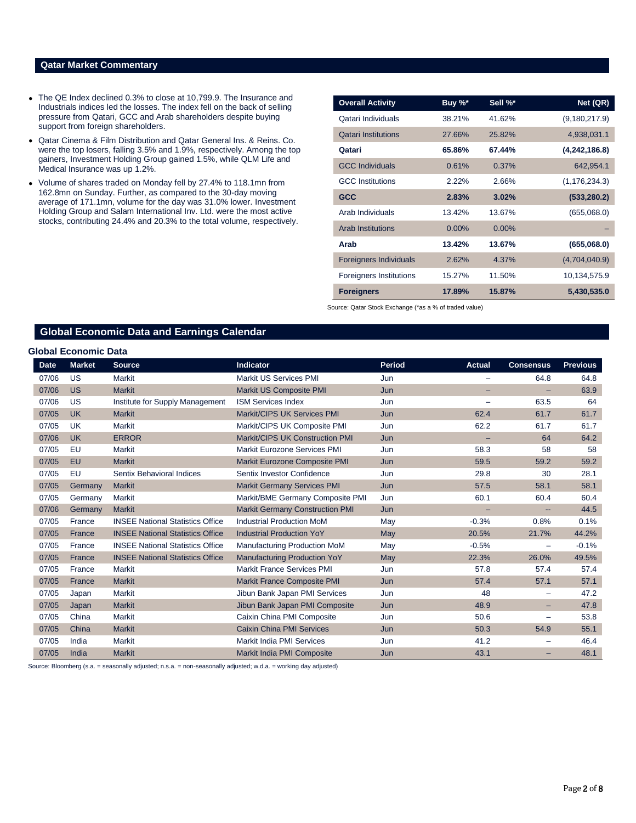### **Qatar Market Commentary**

- The QE Index declined 0.3% to close at 10,799.9. The Insurance and Industrials indices led the losses. The index fell on the back of selling pressure from Qatari, GCC and Arab shareholders despite buying support from foreign shareholders.
- Qatar Cinema & Film Distribution and Qatar General Ins. & Reins. Co. were the top losers, falling 3.5% and 1.9%, respectively. Among the top gainers, Investment Holding Group gained 1.5%, while QLM Life and Medical Insurance was up 1.2%.
- Volume of shares traded on Monday fell by 27.4% to 118.1mn from 162.8mn on Sunday. Further, as compared to the 30-day moving average of 171.1mn, volume for the day was 31.0% lower. Investment Holding Group and Salam International Inv. Ltd. were the most active stocks, contributing 24.4% and 20.3% to the total volume, respectively.

| <b>Overall Activity</b>        | Buy %*   | Sell %*  | Net (QR)        |
|--------------------------------|----------|----------|-----------------|
| Qatari Individuals             | 38.21%   | 41.62%   | (9,180,217.9)   |
| <b>Qatari Institutions</b>     | 27.66%   | 25.82%   | 4,938,031.1     |
| Qatari                         | 65.86%   | 67.44%   | (4,242,186.8)   |
| <b>GCC Individuals</b>         | 0.61%    | 0.37%    | 642,954.1       |
| <b>GCC</b> Institutions        | 2.22%    | 2.66%    | (1, 176, 234.3) |
| <b>GCC</b>                     | 2.83%    | 3.02%    | (533, 280.2)    |
| Arab Individuals               | 13.42%   | 13.67%   | (655,068.0)     |
| <b>Arab Institutions</b>       | $0.00\%$ | $0.00\%$ |                 |
| Arab                           | 13.42%   | 13.67%   | (655,068.0)     |
| <b>Foreigners Individuals</b>  | 2.62%    | 4.37%    | (4,704,040.9)   |
| <b>Foreigners Institutions</b> | 15.27%   | 11.50%   | 10,134,575.9    |
| <b>Foreigners</b>              | 17.89%   | 15.87%   | 5,430,535.0     |

Source: Qatar Stock Exchange (\*as a % of traded value)

# **Global Economic Data and Earnings Calendar**

# **Global Economic Data**

|             | $-0011011000$ |                                         |                                        |               |               |                          |                 |
|-------------|---------------|-----------------------------------------|----------------------------------------|---------------|---------------|--------------------------|-----------------|
| <b>Date</b> | <b>Market</b> | <b>Source</b>                           | <b>Indicator</b>                       | <b>Period</b> | <b>Actual</b> | <b>Consensus</b>         | <b>Previous</b> |
| 07/06       | US            | <b>Markit</b>                           | <b>Markit US Services PMI</b>          | Jun           |               | 64.8                     | 64.8            |
| 07/06       | <b>US</b>     | <b>Markit</b>                           | <b>Markit US Composite PMI</b>         | Jun           |               |                          | 63.9            |
| 07/06       | US            | Institute for Supply Management         | <b>ISM Services Index</b>              | Jun           |               | 63.5                     | 64              |
| 07/05       | <b>UK</b>     | <b>Markit</b>                           | Markit/CIPS UK Services PMI            | Jun           | 62.4          | 61.7                     | 61.7            |
| 07/05       | <b>UK</b>     | Markit                                  | Markit/CIPS UK Composite PMI           | Jun           | 62.2          | 61.7                     | 61.7            |
| 07/06       | <b>UK</b>     | <b>ERROR</b>                            | Markit/CIPS UK Construction PMI        | Jun           |               | 64                       | 64.2            |
| 07/05       | EU            | Markit                                  | Markit Eurozone Services PMI           | Jun           | 58.3          | 58                       | 58              |
| 07/05       | EU            | <b>Markit</b>                           | Markit Eurozone Composite PMI          | Jun           | 59.5          | 59.2                     | 59.2            |
| 07/05       | EU            | Sentix Behavioral Indices               | Sentix Investor Confidence             | Jun           | 29.8          | 30                       | 28.1            |
| 07/05       | Germany       | <b>Markit</b>                           | <b>Markit Germany Services PMI</b>     | Jun           | 57.5          | 58.1                     | 58.1            |
| 07/05       | Germany       | Markit                                  | Markit/BME Germany Composite PMI       | Jun           | 60.1          | 60.4                     | 60.4            |
| 07/06       | Germany       | <b>Markit</b>                           | <b>Markit Germany Construction PMI</b> | Jun           |               | ٠.                       | 44.5            |
| 07/05       | France        | <b>INSEE National Statistics Office</b> | <b>Industrial Production MoM</b>       | May           | $-0.3%$       | 0.8%                     | 0.1%            |
| 07/05       | France        | <b>INSEE National Statistics Office</b> | <b>Industrial Production YoY</b>       | May           | 20.5%         | 21.7%                    | 44.2%           |
| 07/05       | France        | <b>INSEE National Statistics Office</b> | Manufacturing Production MoM           | May           | $-0.5%$       | $\overline{\phantom{0}}$ | $-0.1%$         |
| 07/05       | France        | <b>INSEE National Statistics Office</b> | <b>Manufacturing Production YoY</b>    | May           | 22.3%         | 26.0%                    | 49.5%           |
| 07/05       | France        | Markit                                  | <b>Markit France Services PMI</b>      | Jun           | 57.8          | 57.4                     | 57.4            |
| 07/05       | France        | <b>Markit</b>                           | <b>Markit France Composite PMI</b>     | Jun           | 57.4          | 57.1                     | 57.1            |
| 07/05       | Japan         | Markit                                  | Jibun Bank Japan PMI Services          | Jun           | 48            | -                        | 47.2            |
| 07/05       | Japan         | <b>Markit</b>                           | Jibun Bank Japan PMI Composite         | Jun           | 48.9          | -                        | 47.8            |
| 07/05       | China         | <b>Markit</b>                           | Caixin China PMI Composite             | Jun           | 50.6          | $\overline{\phantom{0}}$ | 53.8            |
| 07/05       | China         | <b>Markit</b>                           | <b>Caixin China PMI Services</b>       | Jun           | 50.3          | 54.9                     | 55.1            |
| 07/05       | India         | <b>Markit</b>                           | <b>Markit India PMI Services</b>       | Jun           | 41.2          |                          | 46.4            |
| 07/05       | India         | <b>Markit</b>                           | Markit India PMI Composite             | Jun           | 43.1          |                          | 48.1            |

Source: Bloomberg (s.a. = seasonally adjusted; n.s.a. = non-seasonally adjusted; w.d.a. = working day adjusted)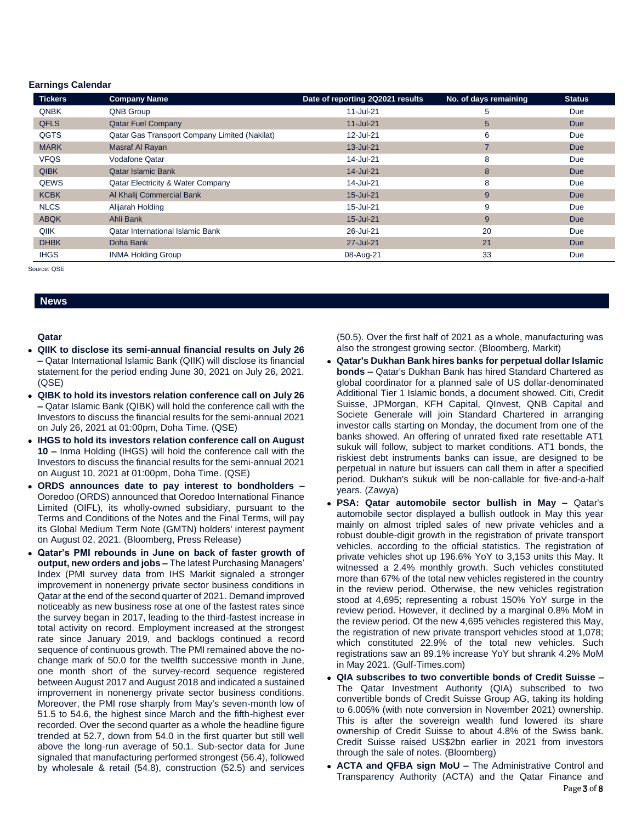#### **Earnings Calendar**

| <b>Tickers</b> | <b>Company Name</b>                           | Date of reporting 2Q2021 results | No. of days remaining | <b>Status</b> |
|----------------|-----------------------------------------------|----------------------------------|-----------------------|---------------|
| <b>QNBK</b>    | QNB Group                                     | 11-Jul-21                        | 5                     | Due           |
| <b>QFLS</b>    | <b>Qatar Fuel Company</b>                     | $11 -$ Jul $-21$                 | 5                     | <b>Due</b>    |
| QGTS           | Qatar Gas Transport Company Limited (Nakilat) | 12-Jul-21                        | 6                     | Due           |
| <b>MARK</b>    | Masraf Al Rayan                               | 13-Jul-21                        | ⇁                     | <b>Due</b>    |
| <b>VFQS</b>    | Vodafone Qatar                                | 14-Jul-21                        | 8                     | Due           |
| <b>QIBK</b>    | <b>Qatar Islamic Bank</b>                     | 14-Jul-21                        | 8                     | <b>Due</b>    |
| QEWS           | <b>Qatar Electricity &amp; Water Company</b>  | 14-Jul-21                        | 8                     | Due           |
| <b>KCBK</b>    | Al Khalij Commercial Bank                     | 15-Jul-21                        | 9                     | <b>Due</b>    |
| <b>NLCS</b>    | Alijarah Holding                              | 15-Jul-21                        | 9                     | Due           |
| <b>ABQK</b>    | Ahli Bank                                     | 15-Jul-21                        | 9                     | <b>Due</b>    |
| QIIK           | <b>Qatar International Islamic Bank</b>       | 26-Jul-21                        | 20                    | Due           |
| <b>DHBK</b>    | Doha Bank                                     | 27-Jul-21                        | 21                    | <b>Due</b>    |
| <b>IHGS</b>    | <b>INMA Holding Group</b>                     | 08-Aug-21                        | 33                    | Due           |

Source: QSE

### **News**

### **Qatar**

- **QIIK to disclose its semi-annual financial results on July 26 –** Qatar International Islamic Bank (QIIK) will disclose its financial statement for the period ending June 30, 2021 on July 26, 2021. (QSE)
- **QIBK to hold its investors relation conference call on July 26 –** Qatar Islamic Bank (QIBK) will hold the conference call with the Investors to discuss the financial results for the semi-annual 2021 on July 26, 2021 at 01:00pm, Doha Time. (QSE)
- **IHGS to hold its investors relation conference call on August 10 –** Inma Holding (IHGS) will hold the conference call with the Investors to discuss the financial results for the semi-annual 2021 on August 10, 2021 at 01:00pm, Doha Time. (QSE)
- **ORDS announces date to pay interest to bondholders –** Ooredoo (ORDS) announced that Ooredoo International Finance Limited (OIFL), its wholly-owned subsidiary, pursuant to the Terms and Conditions of the Notes and the Final Terms, will pay its Global Medium Term Note (GMTN) holders' interest payment on August 02, 2021. (Bloomberg, Press Release)
- **Qatar's PMI rebounds in June on back of faster growth of output, new orders and jobs –** The latest Purchasing Managers' Index (PMI survey data from IHS Markit signaled a stronger improvement in nonenergy private sector business conditions in Qatar at the end of the second quarter of 2021. Demand improved noticeably as new business rose at one of the fastest rates since the survey began in 2017, leading to the third-fastest increase in total activity on record. Employment increased at the strongest rate since January 2019, and backlogs continued a record sequence of continuous growth. The PMI remained above the nochange mark of 50.0 for the twelfth successive month in June, one month short of the survey-record sequence registered between August 2017 and August 2018 and indicated a sustained improvement in nonenergy private sector business conditions. Moreover, the PMI rose sharply from May's seven-month low of 51.5 to 54.6, the highest since March and the fifth-highest ever recorded. Over the second quarter as a whole the headline figure trended at 52.7, down from 54.0 in the first quarter but still well above the long-run average of 50.1. Sub-sector data for June signaled that manufacturing performed strongest (56.4), followed by wholesale & retail (54.8), construction (52.5) and services

(50.5). Over the first half of 2021 as a whole, manufacturing was also the strongest growing sector. (Bloomberg, Markit)

- **Qatar's Dukhan Bank hires banks for perpetual dollar Islamic bonds –** Qatar's Dukhan Bank has hired Standard Chartered as global coordinator for a planned sale of US dollar-denominated Additional Tier 1 Islamic bonds, a document showed. Citi, Credit Suisse, JPMorgan, KFH Capital, QInvest, QNB Capital and Societe Generale will join Standard Chartered in arranging investor calls starting on Monday, the document from one of the banks showed. An offering of unrated fixed rate resettable AT1 sukuk will follow, subject to market conditions. AT1 bonds, the riskiest debt instruments banks can issue, are designed to be perpetual in nature but issuers can call them in after a specified period. Dukhan's sukuk will be non-callable for five-and-a-half years. (Zawya)
- **PSA: Qatar automobile sector bullish in May –** Qatar's automobile sector displayed a bullish outlook in May this year mainly on almost tripled sales of new private vehicles and a robust double-digit growth in the registration of private transport vehicles, according to the official statistics. The registration of private vehicles shot up 196.6% YoY to 3,153 units this May. It witnessed a 2.4% monthly growth. Such vehicles constituted more than 67% of the total new vehicles registered in the country in the review period. Otherwise, the new vehicles registration stood at 4,695; representing a robust 150% YoY surge in the review period. However, it declined by a marginal 0.8% MoM in the review period. Of the new 4,695 vehicles registered this May, the registration of new private transport vehicles stood at 1,078; which constituted 22.9% of the total new vehicles. Such registrations saw an 89.1% increase YoY but shrank 4.2% MoM in May 2021. (Gulf-Times.com)
- **QIA subscribes to two convertible bonds of Credit Suisse –** The Qatar Investment Authority (QIA) subscribed to two convertible bonds of Credit Suisse Group AG, taking its holding to 6.005% (with note conversion in November 2021) ownership. This is after the sovereign wealth fund lowered its share ownership of Credit Suisse to about 4.8% of the Swiss bank. Credit Suisse raised US\$2bn earlier in 2021 from investors through the sale of notes. (Bloomberg)
- Page 3 of 8 **ACTA and QFBA sign MoU –** The Administrative Control and Transparency Authority (ACTA) and the Qatar Finance and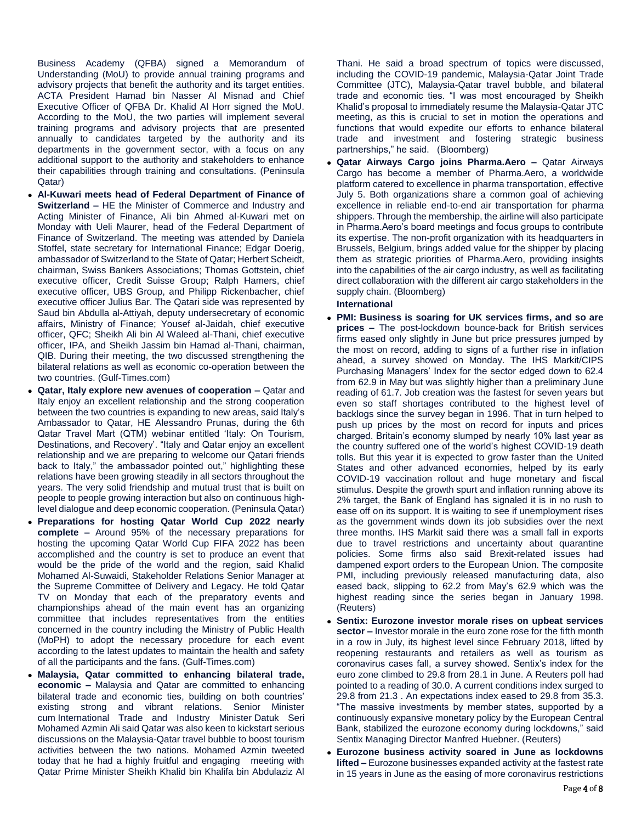Business Academy (QFBA) signed a Memorandum of Understanding (MoU) to provide annual training programs and advisory projects that benefit the authority and its target entities. ACTA President Hamad bin Nasser Al Misnad and Chief Executive Officer of QFBA Dr. Khalid Al Horr signed the MoU. According to the MoU, the two parties will implement several training programs and advisory projects that are presented annually to candidates targeted by the authority and its departments in the government sector, with a focus on any additional support to the authority and stakeholders to enhance their capabilities through training and consultations. (Peninsula Qatar)

- **Al-Kuwari meets head of Federal Department of Finance of Switzerland –** HE the Minister of Commerce and Industry and Acting Minister of Finance, Ali bin Ahmed al-Kuwari met on Monday with Ueli Maurer, head of the Federal Department of Finance of Switzerland. The meeting was attended by Daniela Stoffel, state secretary for International Finance; Edgar Doerig, ambassador of Switzerland to the State of Qatar; Herbert Scheidt, chairman, Swiss Bankers Associations; Thomas Gottstein, chief executive officer, Credit Suisse Group; Ralph Hamers, chief executive officer, UBS Group, and Philipp Rickenbacher, chief executive officer Julius Bar. The Qatari side was represented by Saud bin Abdulla al-Attiyah, deputy undersecretary of economic affairs, Ministry of Finance; Yousef al-Jaidah, chief executive officer, QFC; Sheikh Ali bin Al Waleed al-Thani, chief executive officer, IPA, and Sheikh Jassim bin Hamad al-Thani, chairman, QIB. During their meeting, the two discussed strengthening the bilateral relations as well as economic co-operation between the two countries. (Gulf-Times.com)
- **Qatar, Italy explore new avenues of cooperation –** Qatar and Italy enjoy an excellent relationship and the strong cooperation between the two countries is expanding to new areas, said Italy's Ambassador to Qatar, HE Alessandro Prunas, during the 6th Qatar Travel Mart (QTM) webinar entitled 'Italy: On Tourism, Destinations, and Recovery'. "Italy and Qatar enjoy an excellent relationship and we are preparing to welcome our Qatari friends back to Italy," the ambassador pointed out," highlighting these relations have been growing steadily in all sectors throughout the years. The very solid friendship and mutual trust that is built on people to people growing interaction but also on continuous highlevel dialogue and deep economic cooperation. (Peninsula Qatar)
- **Preparations for hosting Qatar World Cup 2022 nearly complete –** Around 95% of the necessary preparations for hosting the upcoming Qatar World Cup FIFA 2022 has been accomplished and the country is set to produce an event that would be the pride of the world and the region, said Khalid Mohamed Al-Suwaidi, Stakeholder Relations Senior Manager at the Supreme Committee of Delivery and Legacy. He told Qatar TV on Monday that each of the preparatory events and championships ahead of the main event has an organizing committee that includes representatives from the entities concerned in the country including the Ministry of Public Health (MoPH) to adopt the necessary procedure for each event according to the latest updates to maintain the health and safety of all the participants and the fans. (Gulf-Times.com)
- **Malaysia, Qatar committed to enhancing bilateral trade, economic –** Malaysia and Qatar are committed to enhancing bilateral trade and economic ties, building on both countries' existing strong and vibrant relations. Senior Minister cum International Trade and Industry Minister Datuk Seri Mohamed Azmin Ali said Qatar was also keen to kickstart serious discussions on the Malaysia-Qatar travel bubble to boost tourism activities between the two nations. Mohamed Azmin tweeted today that he had a highly fruitful and engaging meeting with Qatar Prime Minister Sheikh Khalid bin Khalifa bin Abdulaziz Al

Thani. He said a broad spectrum of topics were discussed, including the COVID-19 pandemic, Malaysia-Qatar Joint Trade Committee (JTC), Malaysia-Qatar travel bubble, and bilateral trade and economic ties. "I was most encouraged by Sheikh Khalid's proposal to immediately resume the Malaysia-Qatar JTC meeting, as this is crucial to set in motion the operations and functions that would expedite our efforts to enhance bilateral trade and investment and fostering strategic business partnerships," he said. (Bloomberg)

 **Qatar Airways Cargo joins Pharma.Aero –** Qatar Airways Cargo has become a member of Pharma.Aero, a worldwide platform catered to excellence in pharma transportation, effective July 5. Both organizations share a common goal of achieving excellence in reliable end-to-end air transportation for pharma shippers. Through the membership, the airline will also participate in Pharma.Aero's board meetings and focus groups to contribute its expertise. The non-profit organization with its headquarters in Brussels, Belgium, brings added value for the shipper by placing them as strategic priorities of Pharma.Aero, providing insights into the capabilities of the air cargo industry, as well as facilitating direct collaboration with the different air cargo stakeholders in the supply chain. (Bloomberg)

#### **International**

- **PMI: Business is soaring for UK services firms, and so are prices –** The post-lockdown bounce-back for British services firms eased only slightly in June but price pressures jumped by the most on record, adding to signs of a further rise in inflation ahead, a survey showed on Monday. The IHS Markit/CIPS Purchasing Managers' Index for the sector edged down to 62.4 from 62.9 in May but was slightly higher than a preliminary June reading of 61.7. Job creation was the fastest for seven years but even so staff shortages contributed to the highest level of backlogs since the survey began in 1996. That in turn helped to push up prices by the most on record for inputs and prices charged. Britain's economy slumped by nearly 10% last year as the country suffered one of the world's highest COVID-19 death tolls. But this year it is expected to grow faster than the United States and other advanced economies, helped by its early COVID-19 vaccination rollout and huge monetary and fiscal stimulus. Despite the growth spurt and inflation running above its 2% target, the Bank of England has signaled it is in no rush to ease off on its support. It is waiting to see if unemployment rises as the government winds down its job subsidies over the next three months. IHS Markit said there was a small fall in exports due to travel restrictions and uncertainty about quarantine policies. Some firms also said Brexit-related issues had dampened export orders to the European Union. The composite PMI, including previously released manufacturing data, also eased back, slipping to 62.2 from May's 62.9 which was the highest reading since the series began in January 1998. (Reuters)
- **Sentix: Eurozone investor morale rises on upbeat services sector –** Investor morale in the euro zone rose for the fifth month in a row in July, its highest level since February 2018, lifted by reopening restaurants and retailers as well as tourism as coronavirus cases fall, a survey showed. Sentix's index for the euro zone climbed to 29.8 from 28.1 in June. A Reuters poll had pointed to a reading of 30.0. A current conditions index surged to 29.8 from 21.3 . An expectations index eased to 29.8 from 35.3. "The massive investments by member states, supported by a continuously expansive monetary policy by the European Central Bank, stabilized the eurozone economy during lockdowns," said Sentix Managing Director Manfred Huebner. (Reuters)
- **Eurozone business activity soared in June as lockdowns lifted –** Eurozone businesses expanded activity at the fastest rate in 15 years in June as the easing of more coronavirus restrictions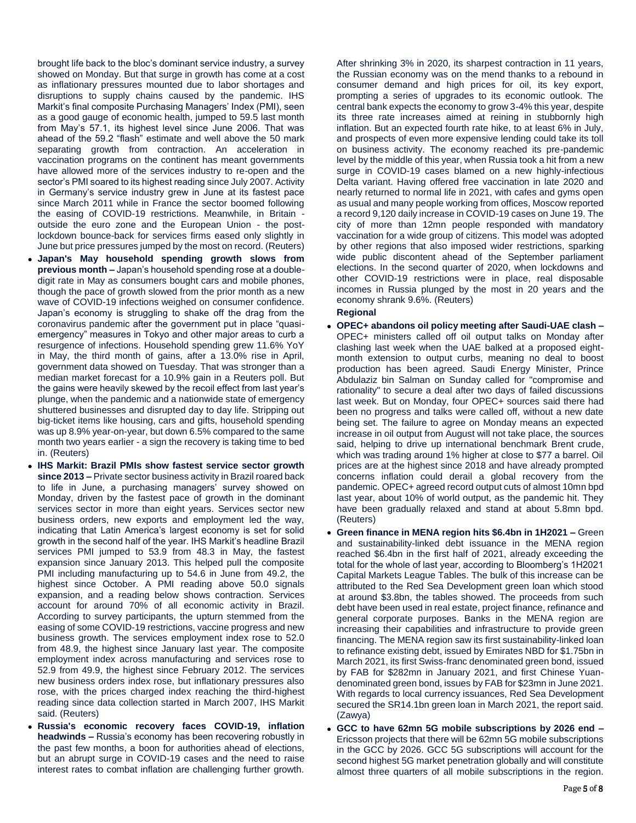brought life back to the bloc's dominant service industry, a survey showed on Monday. But that surge in growth has come at a cost as inflationary pressures mounted due to labor shortages and disruptions to supply chains caused by the pandemic. IHS Markit's final composite Purchasing Managers' Index (PMI), seen as a good gauge of economic health, jumped to 59.5 last month from May's 57.1, its highest level since June 2006. That was ahead of the 59.2 "flash" estimate and well above the 50 mark separating growth from contraction. An acceleration in vaccination programs on the continent has meant governments have allowed more of the services industry to re-open and the sector's PMI soared to its highest reading since July 2007. Activity in Germany's service industry grew in June at its fastest pace since March 2011 while in France the sector boomed following the easing of COVID-19 restrictions. Meanwhile, in Britain outside the euro zone and the European Union - the postlockdown bounce-back for services firms eased only slightly in June but price pressures jumped by the most on record. (Reuters)

- **Japan's May household spending growth slows from previous month –** Japan's household spending rose at a doubledigit rate in May as consumers bought cars and mobile phones, though the pace of growth slowed from the prior month as a new wave of COVID-19 infections weighed on consumer confidence. Japan's economy is struggling to shake off the drag from the coronavirus pandemic after the government put in place "quasiemergency" measures in Tokyo and other major areas to curb a resurgence of infections. Household spending grew 11.6% YoY in May, the third month of gains, after a 13.0% rise in April, government data showed on Tuesday. That was stronger than a median market forecast for a 10.9% gain in a Reuters poll. But the gains were heavily skewed by the recoil effect from last year's plunge, when the pandemic and a nationwide state of emergency shuttered businesses and disrupted day to day life. Stripping out big-ticket items like housing, cars and gifts, household spending was up 8.9% year-on-year, but down 6.5% compared to the same month two years earlier - a sign the recovery is taking time to bed in. (Reuters)
- **IHS Markit: Brazil PMIs show fastest service sector growth since 2013 –** Private sector business activity in Brazil roared back to life in June, a purchasing managers' survey showed on Monday, driven by the fastest pace of growth in the dominant services sector in more than eight years. Services sector new business orders, new exports and employment led the way, indicating that Latin America's largest economy is set for solid growth in the second half of the year. IHS Markit's headline Brazil services PMI jumped to 53.9 from 48.3 in May, the fastest expansion since January 2013. This helped pull the composite PMI including manufacturing up to 54.6 in June from 49.2, the highest since October. A PMI reading above 50.0 signals expansion, and a reading below shows contraction. Services account for around 70% of all economic activity in Brazil. According to survey participants, the upturn stemmed from the easing of some COVID-19 restrictions, vaccine progress and new business growth. The services employment index rose to 52.0 from 48.9, the highest since January last year. The composite employment index across manufacturing and services rose to 52.9 from 49.9, the highest since February 2012. The services new business orders index rose, but inflationary pressures also rose, with the prices charged index reaching the third-highest reading since data collection started in March 2007, IHS Markit said. (Reuters)
- **Russia's economic recovery faces COVID-19, inflation headwinds –** Russia's economy has been recovering robustly in the past few months, a boon for authorities ahead of elections, but an abrupt surge in COVID-19 cases and the need to raise interest rates to combat inflation are challenging further growth.

After shrinking 3% in 2020, its sharpest contraction in 11 years, the Russian economy was on the mend thanks to a rebound in consumer demand and high prices for oil, its key export, prompting a series of upgrades to its economic outlook. The central bank expects the economy to grow 3-4% this year, despite its three rate increases aimed at reining in stubbornly high inflation. But an expected fourth rate hike, to at least 6% in July, and prospects of even more expensive lending could take its toll on business activity. The economy reached its pre-pandemic level by the middle of this year, when Russia took a hit from a new surge in COVID-19 cases blamed on a new highly-infectious Delta variant. Having offered free vaccination in late 2020 and nearly returned to normal life in 2021, with cafes and gyms open as usual and many people working from offices, Moscow reported a record 9,120 daily increase in COVID-19 cases on June 19. The city of more than 12mn people responded with mandatory vaccination for a wide group of citizens. This model was adopted by other regions that also imposed wider restrictions, sparking wide public discontent ahead of the September parliament elections. In the second quarter of 2020, when lockdowns and other COVID-19 restrictions were in place, real disposable incomes in Russia plunged by the most in 20 years and the economy shrank 9.6%. (Reuters)

#### **Regional**

- **OPEC+ abandons oil policy meeting after Saudi-UAE clash –** OPEC+ ministers called off oil output talks on Monday after clashing last week when the UAE balked at a proposed eightmonth extension to output curbs, meaning no deal to boost production has been agreed. Saudi Energy Minister, Prince Abdulaziz bin Salman on Sunday called for "compromise and rationality" to secure a deal after two days of failed discussions last week. But on Monday, four OPEC+ sources said there had been no progress and talks were called off, without a new date being set. The failure to agree on Monday means an expected increase in oil output from August will not take place, the sources said, helping to drive up international benchmark Brent crude, which was trading around 1% higher at close to \$77 a barrel. Oil prices are at the highest since 2018 and have already prompted concerns inflation could derail a global recovery from the pandemic. OPEC+ agreed record output cuts of almost 10mn bpd last year, about 10% of world output, as the pandemic hit. They have been gradually relaxed and stand at about 5.8mn bpd. (Reuters)
- **Green finance in MENA region hits \$6.4bn in 1H2021 –** Green and sustainability-linked debt issuance in the MENA region reached \$6.4bn in the first half of 2021, already exceeding the total for the whole of last year, according to Bloomberg's 1H2021 Capital Markets League Tables. The bulk of this increase can be attributed to the Red Sea Development green loan which stood at around \$3.8bn, the tables showed. The proceeds from such debt have been used in real estate, project finance, refinance and general corporate purposes. Banks in the MENA region are increasing their capabilities and infrastructure to provide green financing. The MENA region saw its first sustainability-linked loan to refinance existing debt, issued by Emirates NBD for \$1.75bn in March 2021, its first Swiss-franc denominated green bond, issued by FAB for \$282mn in January 2021, and first Chinese Yuandenominated green bond, issues by FAB for \$23mn in June 2021. With regards to local currency issuances, Red Sea Development secured the SR14.1bn green loan in March 2021, the report said. (Zawya)
- **GCC to have 62mn 5G mobile subscriptions by 2026 end –** Ericsson projects that there will be 62mn 5G mobile subscriptions in the GCC by 2026. GCC 5G subscriptions will account for the second highest 5G market penetration globally and will constitute almost three quarters of all mobile subscriptions in the region.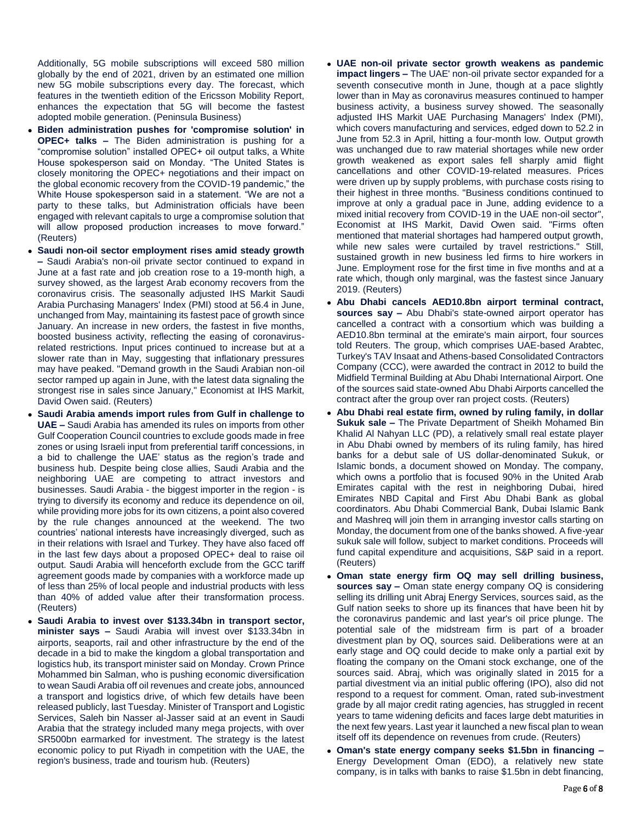Additionally, 5G mobile subscriptions will exceed 580 million globally by the end of 2021, driven by an estimated one million new 5G mobile subscriptions every day. The forecast, which features in the twentieth edition of the Ericsson Mobility Report, enhances the expectation that 5G will become the fastest adopted mobile generation. (Peninsula Business)

- **Biden administration pushes for 'compromise solution' in OPEC+ talks –** The Biden administration is pushing for a "compromise solution" installed OPEC+ oil output talks, a White House spokesperson said on Monday. "The United States is closely monitoring the OPEC+ negotiations and their impact on the global economic recovery from the COVID-19 pandemic," the White House spokesperson said in a statement. "We are not a party to these talks, but Administration officials have been engaged with relevant capitals to urge a compromise solution that will allow proposed production increases to move forward." (Reuters)
- **Saudi non-oil sector employment rises amid steady growth –** Saudi Arabia's non-oil private sector continued to expand in June at a fast rate and job creation rose to a 19-month high, a survey showed, as the largest Arab economy recovers from the coronavirus crisis. The seasonally adjusted IHS Markit Saudi Arabia Purchasing Managers' Index (PMI) stood at 56.4 in June, unchanged from May, maintaining its fastest pace of growth since January. An increase in new orders, the fastest in five months, boosted business activity, reflecting the easing of coronavirusrelated restrictions. Input prices continued to increase but at a slower rate than in May, suggesting that inflationary pressures may have peaked. "Demand growth in the Saudi Arabian non-oil sector ramped up again in June, with the latest data signaling the strongest rise in sales since January," Economist at IHS Markit, David Owen said. (Reuters)
- **Saudi Arabia amends import rules from Gulf in challenge to UAE –** Saudi Arabia has amended its rules on imports from other Gulf Cooperation Council countries to exclude goods made in free zones or using Israeli input from preferential tariff concessions, in a bid to challenge the UAE' status as the region's trade and business hub. Despite being close allies, Saudi Arabia and the neighboring UAE are competing to attract investors and businesses. Saudi Arabia - the biggest importer in the region - is trying to diversify its economy and reduce its dependence on oil, while providing more jobs for its own citizens, a point also covered by the rule changes announced at the weekend. The two countries' national interests have increasingly diverged, such as in their relations with Israel and Turkey. They have also faced off in the last few days about a proposed OPEC+ deal to raise oil output. Saudi Arabia will henceforth exclude from the GCC tariff agreement goods made by companies with a workforce made up of less than 25% of local people and industrial products with less than 40% of added value after their transformation process. (Reuters)
- **Saudi Arabia to invest over \$133.34bn in transport sector, minister says –** Saudi Arabia will invest over \$133.34bn in airports, seaports, rail and other infrastructure by the end of the decade in a bid to make the kingdom a global transportation and logistics hub, its transport minister said on Monday. Crown Prince Mohammed bin Salman, who is pushing economic diversification to wean Saudi Arabia off oil revenues and create jobs, announced a transport and logistics drive, of which few details have been released publicly, last Tuesday. Minister of Transport and Logistic Services, Saleh bin Nasser al-Jasser said at an event in Saudi Arabia that the strategy included many mega projects, with over SR500bn earmarked for investment. The strategy is the latest economic policy to put Riyadh in competition with the UAE, the region's business, trade and tourism hub. (Reuters)
- **UAE non-oil private sector growth weakens as pandemic impact lingers –** The UAE' non-oil private sector expanded for a seventh consecutive month in June, though at a pace slightly lower than in May as coronavirus measures continued to hamper business activity, a business survey showed. The seasonally adjusted IHS Markit UAE Purchasing Managers' Index (PMI), which covers manufacturing and services, edged down to 52.2 in June from 52.3 in April, hitting a four-month low. Output growth was unchanged due to raw material shortages while new order growth weakened as export sales fell sharply amid flight cancellations and other COVID-19-related measures. Prices were driven up by supply problems, with purchase costs rising to their highest in three months. "Business conditions continued to improve at only a gradual pace in June, adding evidence to a mixed initial recovery from COVID-19 in the UAE non-oil sector", Economist at IHS Markit, David Owen said. "Firms often mentioned that material shortages had hampered output growth, while new sales were curtailed by travel restrictions." Still, sustained growth in new business led firms to hire workers in June. Employment rose for the first time in five months and at a rate which, though only marginal, was the fastest since January 2019. (Reuters)
- **Abu Dhabi cancels AED10.8bn airport terminal contract, sources say –** Abu Dhabi's state-owned airport operator has cancelled a contract with a consortium which was building a AED10.8bn terminal at the emirate's main airport, four sources told Reuters. The group, which comprises UAE-based Arabtec, Turkey's TAV Insaat and Athens-based Consolidated Contractors Company (CCC), were awarded the contract in 2012 to build the Midfield Terminal Building at Abu Dhabi International Airport. One of the sources said state-owned Abu Dhabi Airports cancelled the contract after the group over ran project costs. (Reuters)
- **Abu Dhabi real estate firm, owned by ruling family, in dollar Sukuk sale –** The Private Department of Sheikh Mohamed Bin Khalid Al Nahyan LLC (PD), a relatively small real estate player in Abu Dhabi owned by members of its ruling family, has hired banks for a debut sale of US dollar-denominated Sukuk, or Islamic bonds, a document showed on Monday. The company, which owns a portfolio that is focused 90% in the United Arab Emirates capital with the rest in neighboring Dubai, hired Emirates NBD Capital and First Abu Dhabi Bank as global coordinators. Abu Dhabi Commercial Bank, Dubai Islamic Bank and Mashreq will join them in arranging investor calls starting on Monday, the document from one of the banks showed. A five-year sukuk sale will follow, subject to market conditions. Proceeds will fund capital expenditure and acquisitions, S&P said in a report. (Reuters)
- **Oman state energy firm OQ may sell drilling business, sources say –** Oman state energy company OQ is considering selling its drilling unit Abraj Energy Services, sources said, as the Gulf nation seeks to shore up its finances that have been hit by the coronavirus pandemic and last year's oil price plunge. The potential sale of the midstream firm is part of a broader divestment plan by OQ, sources said. Deliberations were at an early stage and OQ could decide to make only a partial exit by floating the company on the Omani stock exchange, one of the sources said. Abraj, which was originally slated in 2015 for a partial divestment via an initial public offering (IPO), also did not respond to a request for comment. Oman, rated sub-investment grade by all major credit rating agencies, has struggled in recent years to tame widening deficits and faces large debt maturities in the next few years. Last year it launched a new fiscal plan to wean itself off its dependence on revenues from crude. (Reuters)
- **Oman's state energy company seeks \$1.5bn in financing –** Energy Development Oman (EDO), a relatively new state company, is in talks with banks to raise \$1.5bn in debt financing,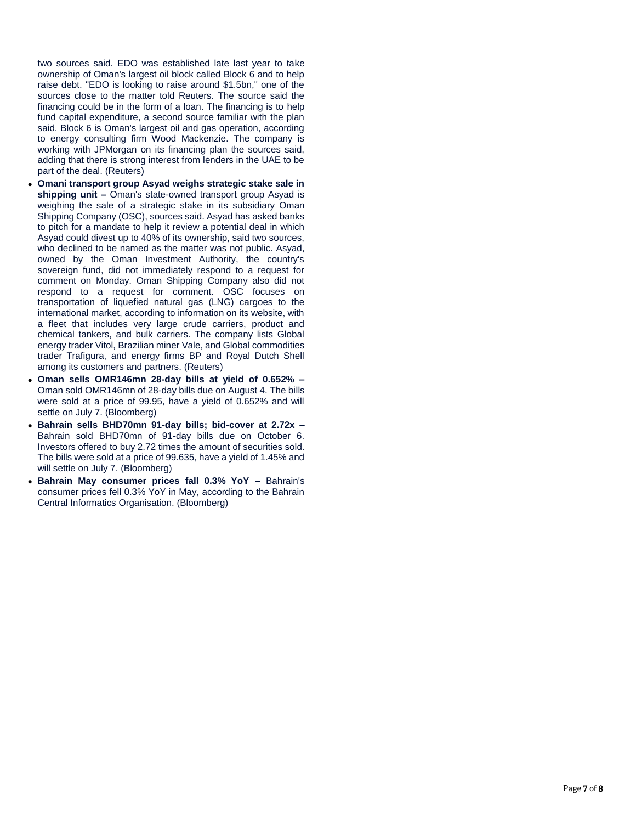two sources said. EDO was established late last year to take ownership of Oman's largest oil block called Block 6 and to help raise debt. "EDO is looking to raise around \$1.5bn," one of the sources close to the matter told Reuters. The source said the financing could be in the form of a loan. The financing is to help fund capital expenditure, a second source familiar with the plan said. Block 6 is Oman's largest oil and gas operation, according to energy consulting firm Wood Mackenzie. The company is working with JPMorgan on its financing plan the sources said, adding that there is strong interest from lenders in the UAE to be part of the deal. (Reuters)

- **Omani transport group Asyad weighs strategic stake sale in shipping unit –** Oman's state-owned transport group Asyad is weighing the sale of a strategic stake in its subsidiary Oman Shipping Company (OSC), sources said. Asyad has asked banks to pitch for a mandate to help it review a potential deal in which Asyad could divest up to 40% of its ownership, said two sources, who declined to be named as the matter was not public. Asyad, owned by the Oman Investment Authority, the country's sovereign fund, did not immediately respond to a request for comment on Monday. Oman Shipping Company also did not respond to a request for comment. OSC focuses on transportation of liquefied natural gas (LNG) cargoes to the international market, according to information on its website, with a fleet that includes very large crude carriers, product and chemical tankers, and bulk carriers. The company lists Global energy trader Vitol, Brazilian miner Vale, and Global commodities trader Trafigura, and energy firms BP and Royal Dutch Shell among its customers and partners. (Reuters)
- **Oman sells OMR146mn 28-day bills at yield of 0.652% –** Oman sold OMR146mn of 28-day bills due on August 4. The bills were sold at a price of 99.95, have a yield of 0.652% and will settle on July 7. (Bloomberg)
- **Bahrain sells BHD70mn 91-day bills; bid-cover at 2.72x –** Bahrain sold BHD70mn of 91-day bills due on October 6. Investors offered to buy 2.72 times the amount of securities sold. The bills were sold at a price of 99.635, have a yield of 1.45% and will settle on July 7. (Bloomberg)
- **Bahrain May consumer prices fall 0.3% YoY –** Bahrain's consumer prices fell 0.3% YoY in May, according to the Bahrain Central Informatics Organisation. (Bloomberg)